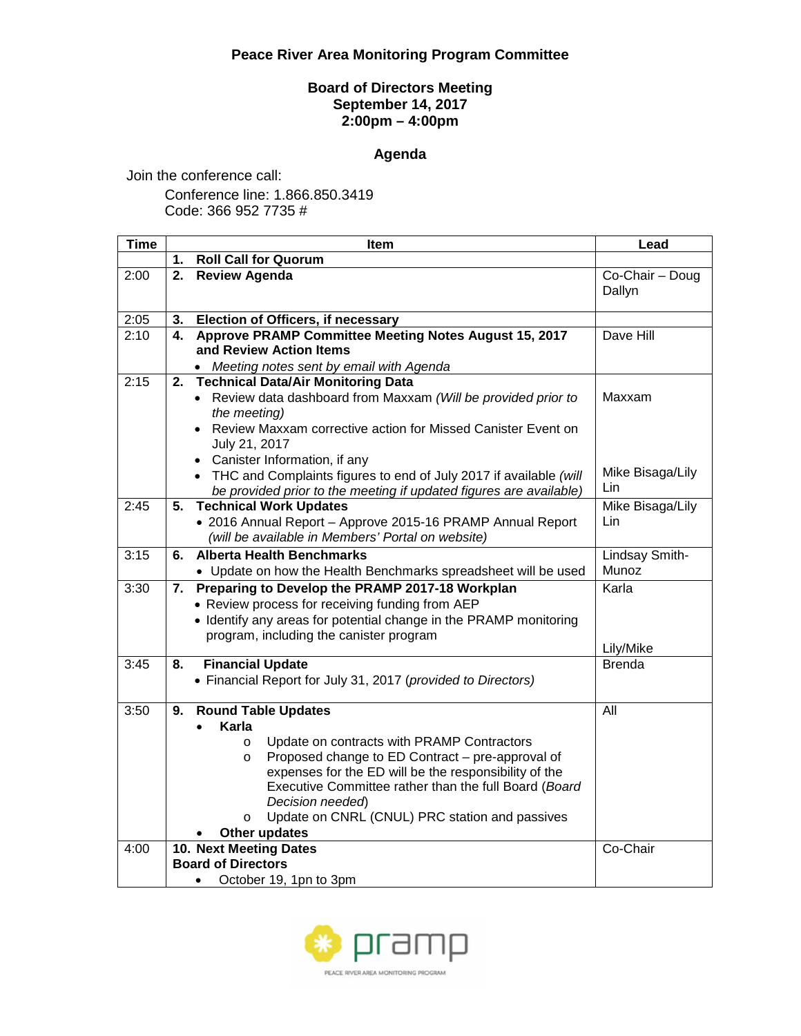## **Peace River Area Monitoring Program Committee**

## **Board of Directors Meeting September 14, 2017 2:00pm – 4:00pm**

## **Agenda**

Join the conference call:

Conference line: 1.866.850.3419 Code: 366 952 7735 #

| <b>Time</b> |                                                     | Item                                                                                                            | Lead                      |
|-------------|-----------------------------------------------------|-----------------------------------------------------------------------------------------------------------------|---------------------------|
|             | 1.                                                  | <b>Roll Call for Quorum</b>                                                                                     |                           |
| 2:00        | 2.                                                  | <b>Review Agenda</b>                                                                                            | Co-Chair - Doug<br>Dallyn |
| 2:05        | 3.                                                  | Election of Officers, if necessary                                                                              |                           |
| 2:10        | 4.                                                  | Approve PRAMP Committee Meeting Notes August 15, 2017<br>and Review Action Items                                | Dave Hill                 |
|             |                                                     | Meeting notes sent by email with Agenda                                                                         |                           |
| 2:15        | 2.                                                  | <b>Technical Data/Air Monitoring Data</b>                                                                       |                           |
|             |                                                     | • Review data dashboard from Maxxam (Will be provided prior to                                                  | Maxxam                    |
|             |                                                     | the meeting)                                                                                                    |                           |
|             |                                                     | Review Maxxam corrective action for Missed Canister Event on<br>July 21, 2017                                   |                           |
|             |                                                     | Canister Information, if any                                                                                    |                           |
|             |                                                     | THC and Complaints figures to end of July 2017 if available (will                                               | Mike Bisaga/Lily<br>Lin   |
|             |                                                     | be provided prior to the meeting if updated figures are available)                                              |                           |
| 2:45        | 5.                                                  | <b>Technical Work Updates</b>                                                                                   | Mike Bisaga/Lily          |
|             |                                                     | • 2016 Annual Report - Approve 2015-16 PRAMP Annual Report<br>(will be available in Members' Portal on website) | Lin                       |
| 3:15        |                                                     | <b>Alberta Health Benchmarks</b>                                                                                |                           |
|             | 6.                                                  |                                                                                                                 | Lindsay Smith-<br>Munoz   |
|             |                                                     | • Update on how the Health Benchmarks spreadsheet will be used                                                  | Karla                     |
| 3:30        | 7.                                                  | Preparing to Develop the PRAMP 2017-18 Workplan<br>• Review process for receiving funding from AEP              |                           |
|             |                                                     | • Identify any areas for potential change in the PRAMP monitoring                                               |                           |
|             |                                                     | program, including the canister program                                                                         |                           |
|             |                                                     |                                                                                                                 | Lily/Mike                 |
| 3:45        | 8.                                                  | <b>Financial Update</b>                                                                                         | <b>Brenda</b>             |
|             |                                                     | • Financial Report for July 31, 2017 (provided to Directors)                                                    |                           |
| 3:50        | 9.                                                  | <b>Round Table Updates</b>                                                                                      | All                       |
|             |                                                     | Karla                                                                                                           |                           |
|             |                                                     | Update on contracts with PRAMP Contractors<br>$\circ$                                                           |                           |
|             |                                                     | Proposed change to ED Contract - pre-approval of<br>$\circ$                                                     |                           |
|             |                                                     | expenses for the ED will be the responsibility of the                                                           |                           |
|             |                                                     | Executive Committee rather than the full Board (Board                                                           |                           |
|             |                                                     | Decision needed)                                                                                                |                           |
|             |                                                     | Update on CNRL (CNUL) PRC station and passives<br>$\circ$                                                       |                           |
| 4:00        | Other updates<br>10. Next Meeting Dates<br>Co-Chair |                                                                                                                 |                           |
|             | <b>Board of Directors</b>                           |                                                                                                                 |                           |
|             |                                                     |                                                                                                                 |                           |
|             |                                                     | October 19, 1pn to 3pm<br>$\bullet$                                                                             |                           |